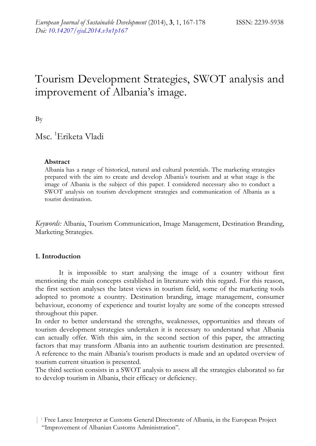# Tourism Development Strategies, SWOT analysis and improvement of Albania's image.

By

Msc. 1 Eriketa Vladi

### **Abstract**

Albania has a range of historical, natural and cultural potentials. The marketing strategies prepared with the aim to create and develop Albania's tourism and at what stage is the image of Albania is the subject of this paper. I considered necessary also to conduct a SWOT analysis on tourism development strategies and communication of Albania as a tourist destination.

*Keywords:* Albania, Tourism Communication, Image Management, Destination Branding, Marketing Strategies.

# **1. Introduction**

It is impossible to start analysing the image of a country without first mentioning the main concepts established in literature with this regard. For this reason, the first section analyses the latest views in tourism field, some of the marketing tools adopted to promote a country. Destination branding, image management, consumer behaviour, economy of experience and tourist loyalty are some of the concepts stressed throughout this paper.

In order to better understand the strengths, weaknesses, opportunities and threats of tourism development strategies undertaken it is necessary to understand what Albania can actually offer. With this aim, in the second section of this paper, the attracting factors that may transform Albania into an authentic tourism destination are presented. A reference to the main Albania's tourism products is made and an updated overview of tourism current situation is presented.

The third section consists in a SWOT analysis to assess all the strategies elaborated so far to develop tourism in Albania, their efficacy or deficiency.

<sup>| 1</sup> Free Lance Interpreter at Customs General Directorate of Albania, in the European Project "Improvement of Albanian Customs Administration".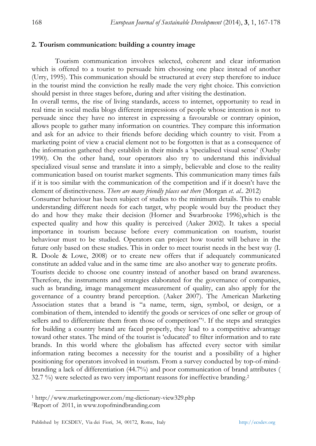#### **2. Tourism communication: building a country image**

Tourism communication involves selected, coherent and clear information which is offered to a tourist to persuade him choosing one place instead of another (Urry, 1995). This communication should be structured at every step therefore to induce in the tourist mind the conviction he really made the very right choice. This conviction should persist in three stages before, during and after visiting the destination.

In overall terms, the rise of living standards, access to internet, opportunity to read in real time in social media blogs different impressions of people whose intention is not to persuade since they have no interest in expressing a favourable or contrary opinion, allows people to gather many information on countries. They compare this information and ask for an advice to their friends before deciding which country to visit. From a marketing point of view a crucial element not to be forgotten is that as a consequence of the information gathered they establish in their minds a 'specialised visual sense' (Ousby 1990). On the other hand, tour operators also try to understand this individual specialized visual sense and translate it into a simply, believable and close to the reality communication based on tourist market segments. This communication many times fails if it is too similar with the communication of the competition and if it doesn't have the element of distinctiveness. *There are many friendly places out there* (Morgan *et. al..* 2012)

Consumer behaviour has been subject of studies to the minimum details. This to enable understanding different needs for each target, why people would buy the product they do and how they make their decision (Horner and Swarbrooke 1996),which is the expected quality and how this quality is perceived (Aaker 2002). It takes a special importance in tourism because before every communication on tourism, tourist behaviour must to be studied. Operators can project how tourist will behave in the future only based on these studies. This in order to meet tourist needs in the best way (I. R. Doole & Lowe, 2008) or to create new offers that if adequately communicated constitute an added value and in the same time are also another way to generate profits.

Tourists decide to choose one country instead of another based on brand awareness. Therefore, the instruments and strategies elaborated for the governance of companies, such as branding, image management measurement of quality, can also apply for the governance of a country brand perception. (Aaker 2007). The American Marketing Association states that a brand is "a name, term, sign, symbol, or design, or a combination of them, intended to identify the goods or services of one seller or group of sellers and to differentiate them from those of competitors"<sup>1</sup>. If the steps and strategies for building a country brand are faced properly, they lead to a competitive advantage toward other states. The mind of the tourist is 'educated' to filter information and to rate brands. In this world where the globalism has affected every sector with similar information rating becomes a necessity for the tourist and a possibility of a higher positioning for operators involved in tourism. From a survey conducted by top-of-mindbranding a lack of differentiation (44.7%) and poor communication of brand attributes ( 32.7 %) were selected as two very important reasons for ineffective branding.2

 <sup>1</sup> http://www.marketingpower.com/mg-dictionary-view329.php 2Report of 2011, in www.topofmindbranding.com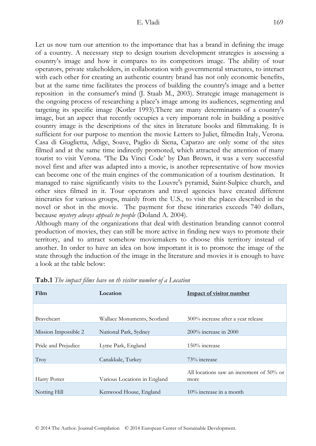Let us now turn our attention to the importance that has a brand in defining the image of a country. A necessary step to design tourism development strategies is assessing a country's image and how it compares to its competitors image. The ability of tour operators, private stakeholders, in collaboration with governmental structures, to interact with each other for creating an authentic country brand has not only economic benefits, but at the same time facilitates the process of building the country's image and a better reposition in the consumer's mind (J. Staab M., 2003). Strategic image management is the ongoing process of researching a place's image among its audiences, segmenting and targeting its specific image (Kotler 1993).There are many determinants of a country's image, but an aspect that recently occupies a very important role in building a positive country image is the descriptions of the sites in literature books and filmmaking. It is sufficient for our purpose to mention the movie Letters to Juliet, filmedin Italy, Verona. Casa di Giuglietta, Adige, Soave, Paglio di Siena, Caparzo are only some of the sites filmed and at the same time indirectly promoted, which attracted the attention of many tourist to visit Verona. 'The Da Vinci Code' by Dan Brown, it was a very successful novel first and after was adapted into a movie, is another representative of how movies can become one of the main engines of the communication of a tourism destination. It managed to raise significantly visits to the Louvre's pyramid, Saint-Sulpice church, and other sites filmed in it. Tour operators and travel agencies have created different itineraries for various groups, mainly from the U.S., to visit the places described in the novel or shot in the movie. The payment for these itineraries exceeds 740 dollars, because *mystery always appeals to people* (Doland A. 2004).

Although many of the organizations that deal with destination branding cannot control production of movies, they can still be more active in finding new ways to promote their territory, and to attract somehow moviemakers to choose this territory instead of another. In order to have an idea on how important it is to promote the image of the state through the induction of the image in the literature and movies it is enough to have a look at the table below:

| Film                 | Location                     | <b>Impact of visitor number</b>                  |
|----------------------|------------------------------|--------------------------------------------------|
|                      |                              |                                                  |
| <b>Braveheart</b>    | Wallace Monuments, Scotland  | 300% increase after a year release               |
| Mission Impossible 2 | National Park, Sydney        | $200\%$ increase in $2000$                       |
| Pride and Prejudice  | Lyme Park, England           | 150% increase                                    |
| Troy                 | Canakkale, Turkey            | 73% increase                                     |
| Harry Potter         | Various Locations in England | All locations saw an increment of 50% or<br>more |
|                      |                              |                                                  |
| Notting Hill         | Kenwood House, England       | $10\%$ increase in a month                       |

#### **Tab.1** *The impact films have on th visitor number of a Location*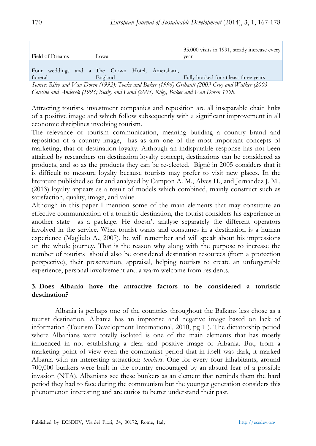|                                                                                                                                                                                                                                                                                                                  |                                                | 35.000 visits in 1991, steady increase every |  |
|------------------------------------------------------------------------------------------------------------------------------------------------------------------------------------------------------------------------------------------------------------------------------------------------------------------|------------------------------------------------|----------------------------------------------|--|
| Field of Dreams                                                                                                                                                                                                                                                                                                  | Lowa                                           | vear                                         |  |
|                                                                                                                                                                                                                                                                                                                  |                                                |                                              |  |
|                                                                                                                                                                                                                                                                                                                  | Four weddings and a The Crown Hotel, Amersham, |                                              |  |
| funeral                                                                                                                                                                                                                                                                                                          | England                                        | Fully booked for at least three years        |  |
| $C = D'$ $U = I + I$ $A = A + I$ $A = I$ $A = I$ $A = A + I$ $A = A + I$ $A = A + I$ $A = A + I$ $A + I$ $A + I$ $A + I$ $A + I$ $A + I$ $A + I$ $A + I$ $A + I$ $A + I$ $A + I$ $A + I$ $A + I$ $A + I$ $A + I$ $A + I$ $A + I$ $A + I$ $A + I$ $A + I$ $A + I$ $A + I$ $A + I$ $A + I$ $A + I$ $A + I$ $A + I$ |                                                |                                              |  |

*Source: Riley and Van Doren (1992): Tooke and Baker (1996) Grihault (2003 Croy and Walker (2003 Cousine and Anderek (1993; Busby and Lund (2003) Riley, Baker and Van Doren 1998.* 

Attracting tourists, investment companies and reposition are all inseparable chain links of a positive image and which follow subsequently with a significant improvement in all economic disciplines involving tourism.

The relevance of tourism communication, meaning building a country brand and reposition of a country image, has as aim one of the most important concepts of marketing, that of destination loyalty. Although an indisputable response has not been attained by researchers on destination loyalty concept, destinations can be considered as products, and so as the products they can be re-elected. Bignè in 2005 considers that it is difficult to measure loyalty because tourists may prefer to visit new places. In the literature published so far and analysed by Campon A. M., Alves H., and Jernandez J. M., (2013) loyalty appears as a result of models which combined, mainly construct such as satisfaction, quality, image, and value.

Although in this paper I mention some of the main elements that may constitute an effective communication of a touristic destination, the tourist considers his experience in another state as a package. He doesn't analyse separately the different operators involved in the service. What tourist wants and consumes in a destination is a human experience (Magliulo A., 2007), he will remember and will speak about his impressions on the whole journey. That is the reason why along with the purpose to increase the number of tourists should also be considered destination resources (from a protection perspective), their preservation, appraisal, helping tourists to create an unforgettable experience, personal involvement and a warm welcome from residents.

# **3. Does Albania have the attractive factors to be considered a touristic destination?**

Albania is perhaps one of the countries throughout the Balkans less chose as a tourist destination. Albania has an imprecise and negative image based on lack of information (Tourism Development International, 2010, pg 1 ). The dictatorship period where Albanians were totally isolated is one of the main elements that has mostly influenced in not establishing a clear and positive image of Albania. But, from a marketing point of view even the communist period that in itself was dark, it marked Albania with an interesting attraction: *bunkers*. One for every four inhabitants, around 700,000 bunkers were built in the country encouraged by an absurd fear of a possible invasion (NTA). Albanians see these bunkers as an element that reminds them the hard period they had to face during the communism but the younger generation considers this phenomenon interesting and are curios to better understand their past.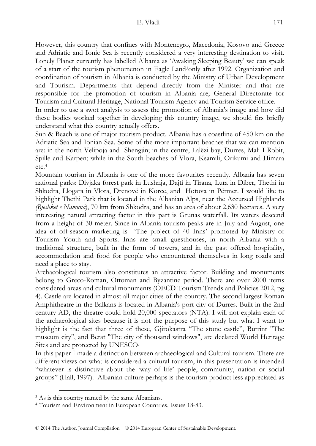However, this country that confines with Montenegro, Macedonia, Kosovo and Greece and Adriatic and Ionic Sea is recently considered a very interesting destination to visit. Lonely Planet currently has labelled Albania as 'Awaking Sleeping Beauty' we can speak of a start of the tourism phenomenon in Eagle Land*3*only after 1992. Organization and coordination of tourism in Albania is conducted by the Ministry of Urban Development and Tourism. Departments that depend directly from the Minister and that are responsible for the promotion of tourism in Albania are; General Directorate for Tourism and Cultural Heritage, National Tourism Agency and Tourism Service office.

In order to use a swot analysis to assess the promotion of Albania's image and how did these bodies worked together in developing this country image, we should firs briefly understand what this country actually offers.

Sun & Beach is one of major tourism product. Albania has a coastline of 450 km on the Adriatic Sea and Ionian Sea. Some of the more important beaches that we can mention are: in the north Velipoja and Shengjin; in the centre, Lalëzi bay, Durres, Mali I Robit, Spille and Karpen; while in the South beaches of Vlora, Ksamili, Orikumi and Himara etc.4

Mountain tourism in Albania is one of the more favourites recently. Albania has seven national parks: Divjaka forest park in Lushnja, Dajti in Tirana, Lura in Diber, Thethi in Shkodra, Llogara in Vlora, Drenovë in Korce, and Hotova in Përmet. I would like to highlight Thethi Park that is located in the Albanian Alps, near the Accursed Highlands *(Bjeshket e Namuna*), 70 km from Shkodra, and has an area of about 2,630 hectares. A very interesting natural attracting factor in this part is Grunas waterfall. Its waters descend from a height of 30 meter. Since in Albania tourism peaks are in July and August, one idea of off-season marketing is 'The project of 40 Inns' promoted by Ministry of Tourism Youth and Sports. Inns are small guesthouses, in north Albania with a traditional structure, built in the form of towers, and in the past offered hospitality, accommodation and food for people who encountered themselves in long roads and need a place to stay.

Archaeological tourism also constitutes an attractive factor. Building and monuments belong to Greco-Roman, Ottoman and Byzantine period. There are over 2000 items considered areas and cultural monuments (OECD Tourism Trends and Policies 2012, pg 4). Castle are located in almost all major cities of the country. The second largest Roman Amphitheatre in the Balkans is located in Albania's port city of Durres. Built in the 2nd century AD, the theatre could hold 20,000 spectators (NTA). I will not explain each of the archaeological sites because it is not the purpose of this study but what I want to highlight is the fact that three of these, Gjirokastra "The stone castle", Butrint "The museum city", and Berat "The city of thousand windows", are declared World Heritage Sites and are protected by UNESCO.

In this paper I made a distinction between archaeological and Cultural tourism. There are different views on what is considered a cultural tourism, in this presentation is intended "whatever is distinctive about the 'way of life' people, community, nation or social groups" (Hall, 1997). Albanian culture perhaps is the tourism product less appreciated as

 <sup>3</sup> As is this country named by the same Albanians.

<sup>4</sup> Tourism and Environment in European Countries, Issues 18-83.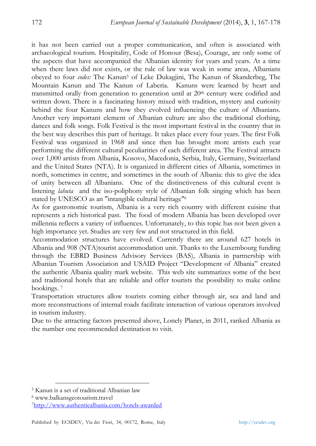it has not been carried out a proper communication, and often is associated with archaeological tourism. Hospitality, Code of Honour (Besa), Courage, are only some of the aspects that have accompanied the Albanian identity for years and years. At a time when there laws did not exists, or the rule of law was weak in some areas, Albanians obeyed to four *codes:* The Kanun5 of Leke Dukagjini, The Kanun of Skanderbeg, The Mountain Kanun and The Kanun of Laberia. Kanuns were learned by heart and transmitted orally from generation to generation until at  $20<sup>th</sup>$  century were codified and written down. There is a fascinating history mixed with tradition, mystery and curiosity behind the four Kanuns and how they evolved influencing the culture of Albanians. Another very important element of Albanian culture are also the traditional clothing, dances and folk songs. Folk Festival is the most important festival in the country that in the best way describes this part of heritage. It takes place every four years. The first Folk Festival was organized in 1968 and since then has brought more artists each year performing the different cultural peculiarities of each different area. The Festival attracts over 1,000 artists from Albania, Kosovo, Macedonia, Serbia, Italy, Germany, Switzerland and the United States (NTA). It is organized in different cities of Albania, sometimes in north, sometimes in centre, and sometimes in the south of Albania: this to give the idea of unity between all Albanians. One of the distinctiveness of this cultural event is listening *lahuta* and the iso-poliphony style of Albanian folk singing which has been stated by UNESCO as an "intangible cultural heritage"6

As for gastronomic tourism, Albania is a very rich country with different cuisine that represents a rich historical past. The food of modern Albania has been developed over millennia reflects a variety of influences. Unfortunately, to this topic has not been given a high importance yet. Studies are very few and not structured in this field.

Accommodation structures have evolved. Currently there are around 627 hotels in Albania and 908 (NTA)tourist accommodation unit. Thanks to the Luxembourg funding through the EBRD Business Advisory Services (BAS), Albania in partnership with Albanian Tourism Association and USAID Project "Development of Albania" created the authentic Albania quality mark website. This web site summarizes some of the best and traditional hotels that are reliable and offer tourists the possibility to make online bookings. 7

Transportation structures allow tourists coming either through air, sea and land and more reconstructions of internal roads facilitate interaction of various operators involved in tourism industry.

Due to the attracting factors presented above, Lonely Planet, in 2011, ranked Albania as the number one recommended destination to visit.

 <sup>5</sup> Kanun is a set of traditional Albanian law

<sup>6</sup> www.balkansgeotourism.travel

<sup>7</sup>http://www.authenticalbania.com/hotels-awarded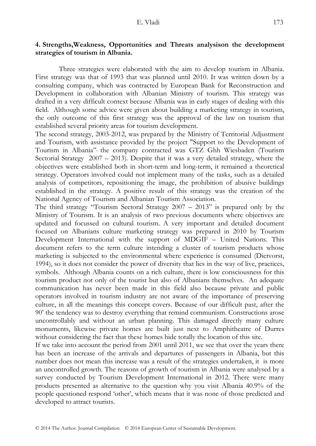# **4. Strengths,Weakness, Opportunities and Threats analysison the development strategies of tourism in Albania.**

Three strategies were elaborated with the aim to develop tourism in Albania. First strategy was that of 1993 that was planned until 2010. It was written down by a consulting company, which was contracted by European Bank for Reconstruction and Development in collaboration with Albanian Ministry of tourism. This strategy was drafted in a very difficult context because Albania was in early stages of dealing with this field. Although some advice were given about building a marketing strategy in tourism, the only outcome of this first strategy was the approval of the law on tourism that established several priority areas for tourism development.

The second strategy, 2003-2012, was prepared by the Ministry of Territorial Adjustment and Tourism, with assistance provided by the project "Support to the Development of Tourism in Albania", the company contracted was GTZ Ghh Wiesbaden (Tourism Sectorial Strategy 2007 – 2013). Despite that it was a very detailed strategy, where the objectives were established both in short-term and long-term, it remained a theoretical strategy. Operators involved could not implement many of the tasks, such as a detailed analysis of competitors, repositioning the image, the prohibition of abusive buildings established in the strategy. A positive result of this strategy was the creation of the National Agency of Tourism and Albanian Tourism Association.

The third strategy "Tourism Sectoral Strategy 2007 – 2013" is prepared only by the Ministry of Tourism. It is an analysis of two previous documents where objectives are updated and focussed on cultural tourism. A very important and detailed document focused on Albanians culture marketing strategy was prepared in 2010 by Tourism Development International with the support of MDGIF – United Nations. This document refers to the term culture intending a cluster of tourism products whose marketing is subjected to the environmental where experience is consumed (Dietvorst, 1994), so it does not consider the power of diversity that lies in the way of live, practices, symbols. Although Albania counts on a rich culture, there is low consciousness for this tourism product not only of the tourist but also of Albanians themselves. An adequate communication has never been made in this field also because private and public operators involved in tourism industry are not aware of the importance of preserving culture, in all the meanings this concept covers. Because of our difficult past, after the 90' the tendency was to destroy everything that remind communism. Constructions arose uncontrollably and without an urban planning. This damaged directly many culture monuments, likewise private homes are built just next to Amphitheatre of Durres without considering the fact that these homes hide totally the location of this site.

If we take into account the period from 2001 until 2011, we see that over the years there has been an increase of the arrivals and departures of passengers in Albania, but this number does not mean this increase was a result of the strategies undertaken, it is more an uncontrolled growth. The reasons of growth of tourism in Albania were analysed by a survey conducted by Tourism Development International in 2012. There were many products presented as alternative to the question why you visit Albania 40.9% of the people questioned respond 'other', which means that it was none of those predicted and developed to attract tourists.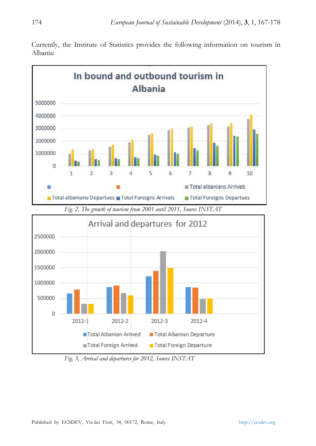

Currently, the Institute of Statistics provides the following information on tourism in Alba ania:

 *Fig. 3, Ar rrival and departures s for 2012, Source IN NSTAT*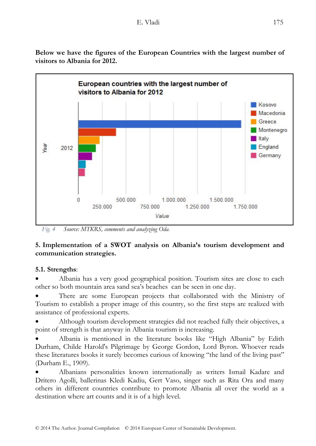

**Below we have the figures of the European Countries with the largest number of visitors to Albania for 2012.** 

 *Fig. 4 Source: MTKRS, comments and analyzing Oda.* 

250,000

500,000

# **5. Implementation of a SWOT analysis on Albania's tourism development and communication strategies.**

Value

750,000

1.000.000

1,250,000

1.500.000

1,750,000

# **5.1. Strengths**:

• Albania has a very good geographical position. Tourism sites are close to each other so both mountain area sand sea's beaches can be seen in one day.

• There are some European projects that collaborated with the Ministry of Tourism to establish a proper image of this country, so the first steps are realized with assistance of professional experts.

• Although tourism development strategies did not reached fully their objectives, a point of strength is that anyway in Albania tourism is increasing.

• Albania is mentioned in the literature books like "High Albania" by Edith Durham, Childe Harold's Pilgrimage by George Gordon, Lord Byron. Whoever reads these literatures books it surely becomes curious of knowing "the land of the living past" (Durham E., 1909).

• Albanians personalities known internationally as writers Ismail Kadare and Dritero Agolli, ballerinas Kledi Kadiu, Gert Vaso, singer such as Rita Ora and many others in different countries contribute to promote Albania all over the world as a destination where art counts and it is of a high level.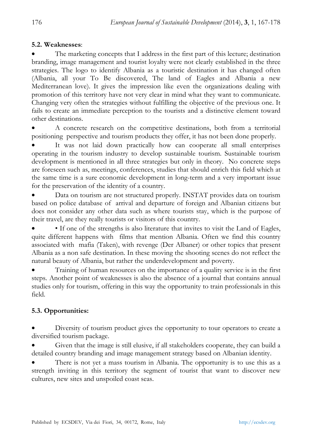## **5.2. Weaknesses**:

The marketing concepts that I address in the first part of this lecture; destination branding, image management and tourist loyalty were not clearly established in the three strategies. The logo to identify Albania as a touristic destination it has changed often (Albania, all your To Be discovered, The land of Eagles and Albania a new Mediterranean love). It gives the impression like even the organizations dealing with promotion of this territory have not very clear in mind what they want to communicate. Changing very often the strategies without fulfilling the objective of the previous one. It fails to create an immediate perception to the tourists and a distinctive element toward other destinations.

• A concrete research on the competitive destinations, both from a territorial positioning perspective and tourism products they offer, it has not been done properly.

It was not laid down practically how can cooperate all small enterprises operating in the tourism industry to develop sustainable tourism. Sustainable tourism development is mentioned in all three strategies but only in theory. No concrete steps are foreseen such as, meetings, conferences, studies that should enrich this field which at the same time is a sure economic development in long-term and a very important issue for the preservation of the identity of a country.

• Data on tourism are not structured properly. INSTAT provides data on tourism based on police database of arrival and departure of foreign and Albanian citizens but does not consider any other data such as where tourists stay, which is the purpose of their travel, are they really tourists or visitors of this country.

• If one of the strengths is also literature that invites to visit the Land of Eagles, quite different happens with films that mention Albania. Often we find this country associated with mafia (Taken), with revenge (Der Albaner) or other topics that present Albania as a non safe destination. In these moving the shooting scenes do not reflect the natural beauty of Albania, but rather the underdevelopment and poverty.

• Training of human resources on the importance of a quality service is in the first steps. Another point of weaknesses is also the absence of a journal that contains annual studies only for tourism, offering in this way the opportunity to train professionals in this field.

# **5.3. Opportunities:**

Diversity of tourism product gives the opportunity to tour operators to create a diversified tourism package.

• Given that the image is still elusive, if all stakeholders cooperate, they can build a detailed country branding and image management strategy based on Albanian identity.

There is not yet a mass tourism in Albania. The opportunity is to use this as a strength inviting in this territory the segment of tourist that want to discover new cultures, new sites and unspoiled coast seas.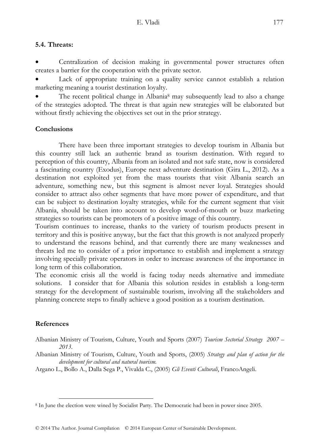# **5.4. Threats:**

Centralization of decision making in governmental power structures often creates a barrier for the cooperation with the private sector.

Lack of appropriate training on a quality service cannot establish a relation marketing meaning a tourist destination loyalty.

The recent political change in Albania<sup>8</sup> may subsequently lead to also a change of the strategies adopted. The threat is that again new strategies will be elaborated but without firstly achieving the objectives set out in the prior strategy.

# **Conclusions**

There have been three important strategies to develop tourism in Albania but this country still lack an authentic brand as tourism destination. With regard to perception of this country, Albania from an isolated and not safe state, now is considered a fascinating country (Exodus), Europe next adventure destination (Gira L., 2012). As a destination not exploited yet from the mass tourists that visit Albania search an adventure, something new, but this segment is almost never loyal. Strategies should consider to attract also other segments that have more power of expenditure, and that can be subject to destination loyalty strategies, while for the current segment that visit Albania, should be taken into account to develop word-of-mouth or buzz marketing strategies so tourists can be promoters of a positive image of this country.

Tourism continues to increase, thanks to the variety of tourism products present in territory and this is positive anyway, but the fact that this growth is not analyzed properly to understand the reasons behind, and that currently there are many weaknesses and threats led me to consider of a prior importance to establish and implement a strategy involving specially private operators in order to increase awareness of the importance in long term of this collaboration.

The economic crisis all the world is facing today needs alternative and immediate solutions. I consider that for Albania this solution resides in establish a long-term strategy for the development of sustainable tourism, involving all the stakeholders and planning concrete steps to finally achieve a good position as a tourism destination.

# **References**

- Albanian Ministry of Tourism, Culture, Youth and Sports (2007) *Tourism Sectorial Strategy 2007 2013*.
- Albanian Ministry of Tourism, Culture, Youth and Sports, (2005) *Strategy and plan of action for the development for cultural and natural tourism.*

Argano L., Bollo A., Dalla Sega P., Vivalda C., (2005) *Gli Eventi Culturali*, FrancoAngeli.

 <sup>8</sup> In June the election were wined by Socialist Party. The Democratic had been in power since 2005.